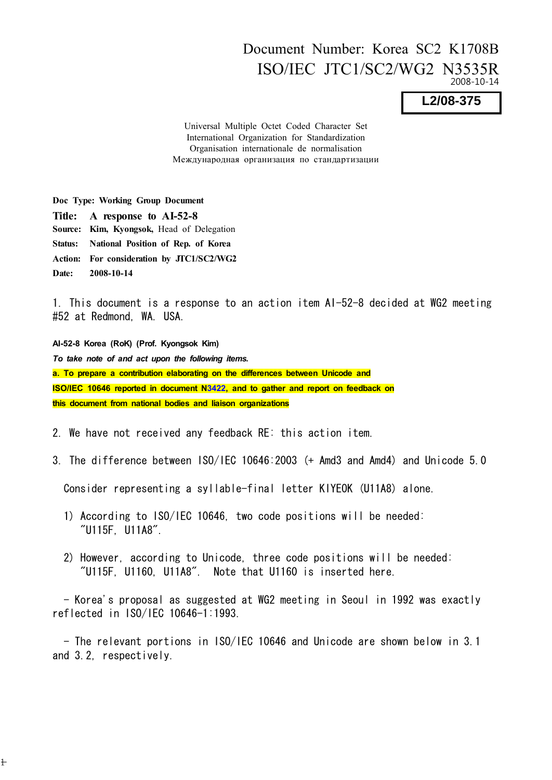## Document Number: Korea SC2 K1708B ISO/IEC JTC1/SC2/WG2 N3535R 2008-10-14

**L2/08-375**

Universal Multiple Octet Coded Character Set International Organization for Standardization Organisation internationale de normalisation Международная организация по стандартизации

Doc Type: Working Group Document Title: A response to AI-52-8 Source: Kim, Kyongsok, Head of Delegation Status: National Position of Rep. of Korea Action: For consideration by JTC1/SC2/WG2 Date: 2008-10-14

 $\pm$ 

1. This document is a response to an action item AI-52-8 decided at WG2 meeting #52 at Redmond, WA. USA.

AI-52-8 Korea (RoK) (Prof. Kyongsok Kim) *To take note of and act upon the following items.* a. To prepare a contribution elaborating on the differences between Unicode and ISO/IEC 10646 reported in document N3422, and to gather and report on feedback on this document from national bodies and liaison organizations

2. We have not received any feedback RE: this action item.

3. The difference between ISO/IEC 10646:2003 (+ Amd3 and Amd4) and Unicode 5.0

Consider representing a syllable-final letter KIYEOK (U11A8) alone.

- 1) According to ISO/IEC 10646, two code positions will be needed: "U115F, U11A8".
- 2) However, according to Unicode, three code positions will be needed: "U115F, U1160, U11A8". Note that U1160 is inserted here.

 - Korea's proposal as suggested at WG2 meeting in Seoul in 1992 was exactly reflected in ISO/IEC 10646-1:1993.

 - The relevant portions in ISO/IEC 10646 and Unicode are shown below in 3.1 and 3.2, respectively.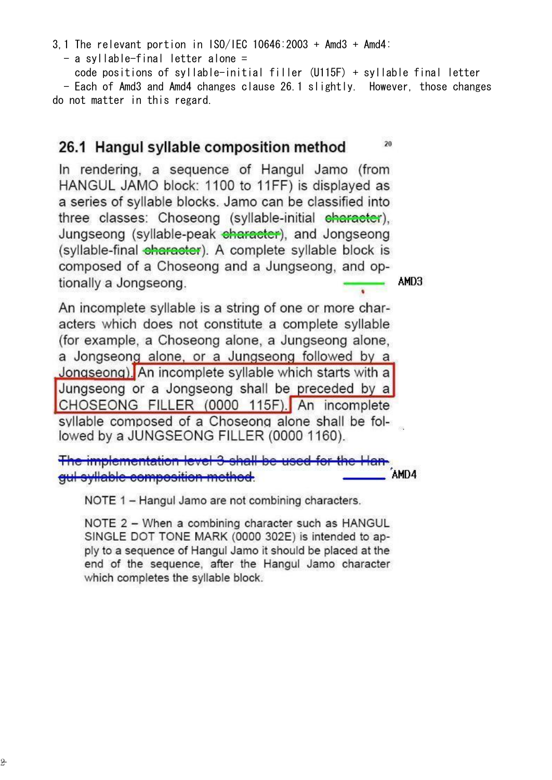- a syllable-final letter alone =

 code positions of syllable-initial filler (U115F) + syllable final letter - Each of Amd3 and Amd4 changes clause 26.1 slightly. However, those changes do not matter in this regard.

 $20$ 

## 26.1 Hangul syllable composition method

In rendering, a sequence of Hangul Jamo (from HANGUL JAMO block: 1100 to 11FF) is displayed as a series of syllable blocks. Jamo can be classified into three classes: Choseong (syllable-initial character), Jungseong (syllable-peak character), and Jongseong (syllable-final eharaster). A complete syllable block is composed of a Choseong and a Jungseong, and optionally a Jongseong. AMD3

An incomplete syllable is a string of one or more characters which does not constitute a complete syllable (for example, a Choseong alone, a Jungseong alone, a Jongseong alone, or a Jungseong followed by a Jongseong). An incomplete syllable which starts with a Jungseong or a Jongseong shall be preceded by a CHOSEONG FILLER (0000 115F). An incomplete syllable composed of a Choseong alone shall be followed by a JUNGSEONG FILLER (0000 1160).

The implementation level 3 shall be used for AMD4 qui syllable composition method.

NOTE 1 - Hangul Jamo are not combining characters.

NOTE 2 - When a combining character such as HANGUL SINGLE DOT TONE MARK (0000 302E) is intended to apply to a sequence of Hangul Jamo it should be placed at the end of the sequence, after the Hangul Jamo character which completes the syllable block.

- 2